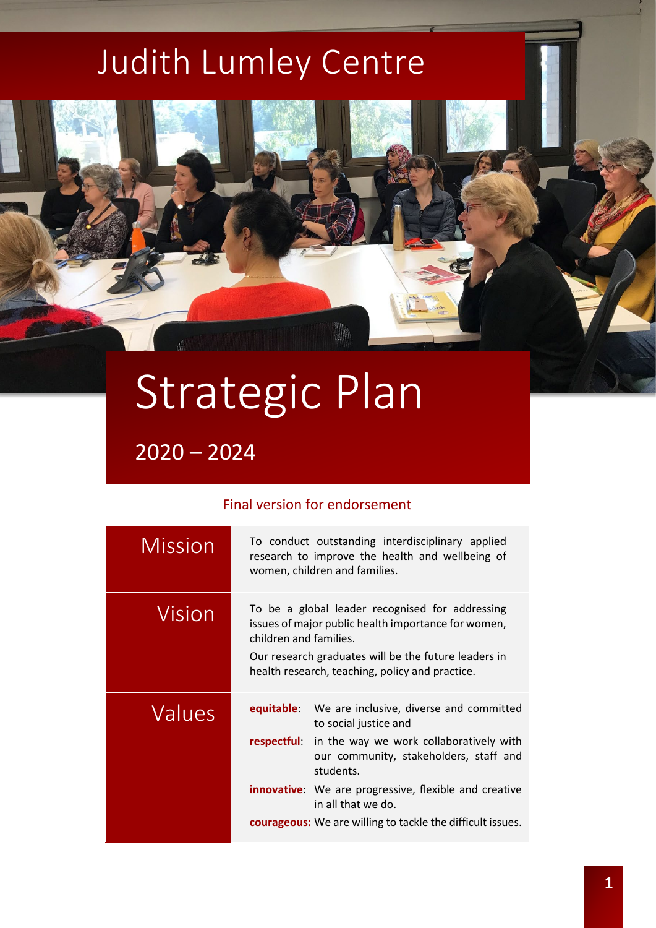## Judith Lumley Centre

# Strategic Plan

 $2020 - 2024$ 

#### Final version for endorsement

| <b>Mission</b> |                                                                                                                                                                                                                                             | To conduct outstanding interdisciplinary applied<br>research to improve the health and wellbeing of<br>women, children and families. |
|----------------|---------------------------------------------------------------------------------------------------------------------------------------------------------------------------------------------------------------------------------------------|--------------------------------------------------------------------------------------------------------------------------------------|
| Vision         | To be a global leader recognised for addressing<br>issues of major public health importance for women,<br>children and families.<br>Our research graduates will be the future leaders in<br>health research, teaching, policy and practice. |                                                                                                                                      |
| Values         | equitable:                                                                                                                                                                                                                                  | We are inclusive, diverse and committed<br>to social justice and                                                                     |
|                | respectful:                                                                                                                                                                                                                                 | in the way we work collaboratively with<br>our community, stakeholders, staff and<br>students.                                       |
|                |                                                                                                                                                                                                                                             | <b>innovative:</b> We are progressive, flexible and creative<br>in all that we do.                                                   |
|                |                                                                                                                                                                                                                                             | <b>courageous:</b> We are willing to tackle the difficult issues.                                                                    |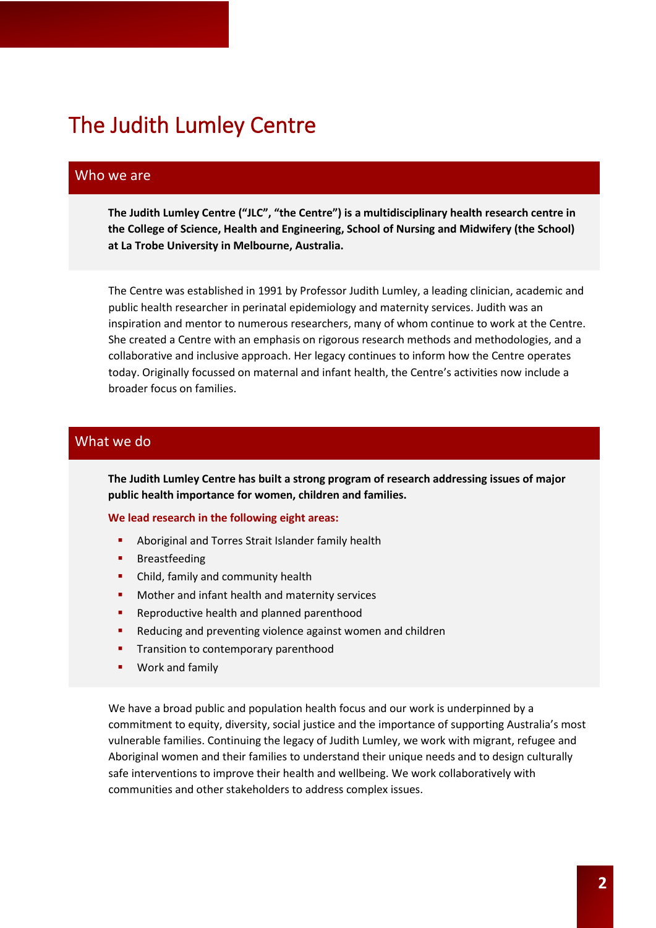## The Judith Lumley Centre

#### Who we are

**The Judith Lumley Centre ("JLC", "the Centre") is a multidisciplinary health research centre in the College of Science, Health and Engineering, School of Nursing and Midwifery (the School) at La Trobe University in Melbourne, Australia.**

The Centre was established in 1991 by Professor Judith Lumley, a leading clinician, academic and public health researcher in perinatal epidemiology and maternity services. Judith was an inspiration and mentor to numerous researchers, many of whom continue to work at the Centre. She created a Centre with an emphasis on rigorous research methods and methodologies, and a collaborative and inclusive approach. Her legacy continues to inform how the Centre operates today. Originally focussed on maternal and infant health, the Centre's activities now include a broader focus on families.

#### What we do

**The Judith Lumley Centre has built a strong program of research addressing issues of major public health importance for women, children and families.** 

**We lead research in the following eight areas:** 

- **Aboriginal and Torres Strait Islander family health**
- **Breastfeeding**
- **•** Child, family and community health
- **•** Mother and infant health and maternity services
- **Reproductive health and planned parenthood**
- Reducing and preventing violence against women and children
- **Transition to contemporary parenthood**
- Work and family

We have a broad public and population health focus and our work is underpinned by a commitment to equity, diversity, social justice and the importance of supporting Australia's most vulnerable families. Continuing the legacy of Judith Lumley, we work with migrant, refugee and Aboriginal women and their families to understand their unique needs and to design culturally safe interventions to improve their health and wellbeing. We work collaboratively with communities and other stakeholders to address complex issues.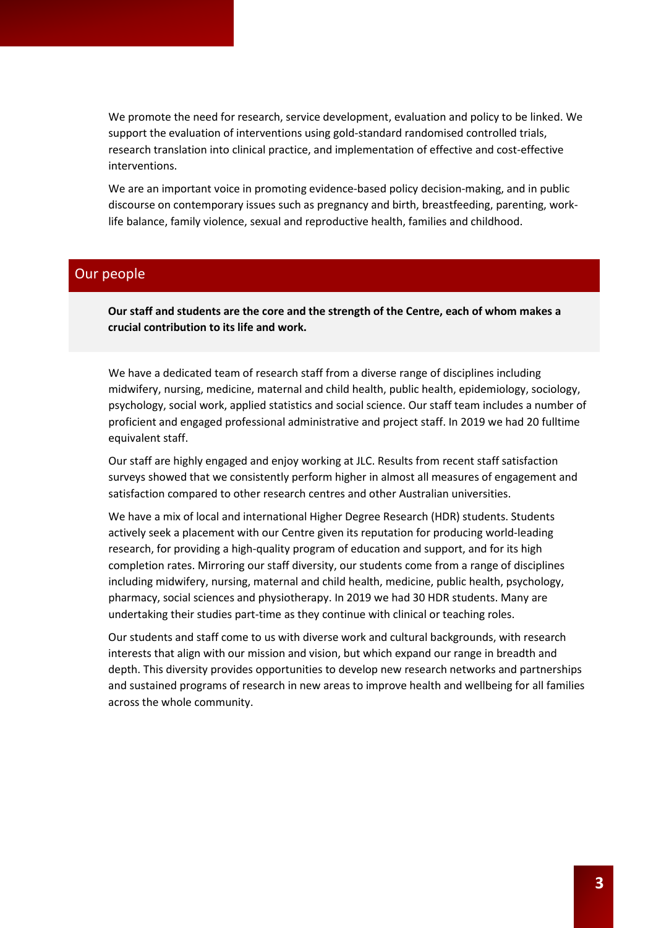We promote the need for research, service development, evaluation and policy to be linked. We support the evaluation of interventions using gold-standard randomised controlled trials, research translation into clinical practice, and implementation of effective and cost-effective interventions.

We are an important voice in promoting evidence-based policy decision-making, and in public discourse on contemporary issues such as pregnancy and birth, breastfeeding, parenting, worklife balance, family violence, sexual and reproductive health, families and childhood.

#### Our people

**Our staff and students are the core and the strength of the Centre, each of whom makes a crucial contribution to its life and work.**

We have a dedicated team of research staff from a diverse range of disciplines including midwifery, nursing, medicine, maternal and child health, public health, epidemiology, sociology, psychology, social work, applied statistics and social science. Our staff team includes a number of proficient and engaged professional administrative and project staff. In 2019 we had 20 fulltime equivalent staff.

Our staff are highly engaged and enjoy working at JLC. Results from recent staff satisfaction surveys showed that we consistently perform higher in almost all measures of engagement and satisfaction compared to other research centres and other Australian universities.

We have a mix of local and international Higher Degree Research (HDR) students. Students actively seek a placement with our Centre given its reputation for producing world-leading research, for providing a high-quality program of education and support, and for its high completion rates. Mirroring our staff diversity, our students come from a range of disciplines including midwifery, nursing, maternal and child health, medicine, public health, psychology, pharmacy, social sciences and physiotherapy. In 2019 we had 30 HDR students. Many are undertaking their studies part-time as they continue with clinical or teaching roles.

Our students and staff come to us with diverse work and cultural backgrounds, with research interests that align with our mission and vision, but which expand our range in breadth and depth. This diversity provides opportunities to develop new research networks and partnerships and sustained programs of research in new areas to improve health and wellbeing for all families across the whole community.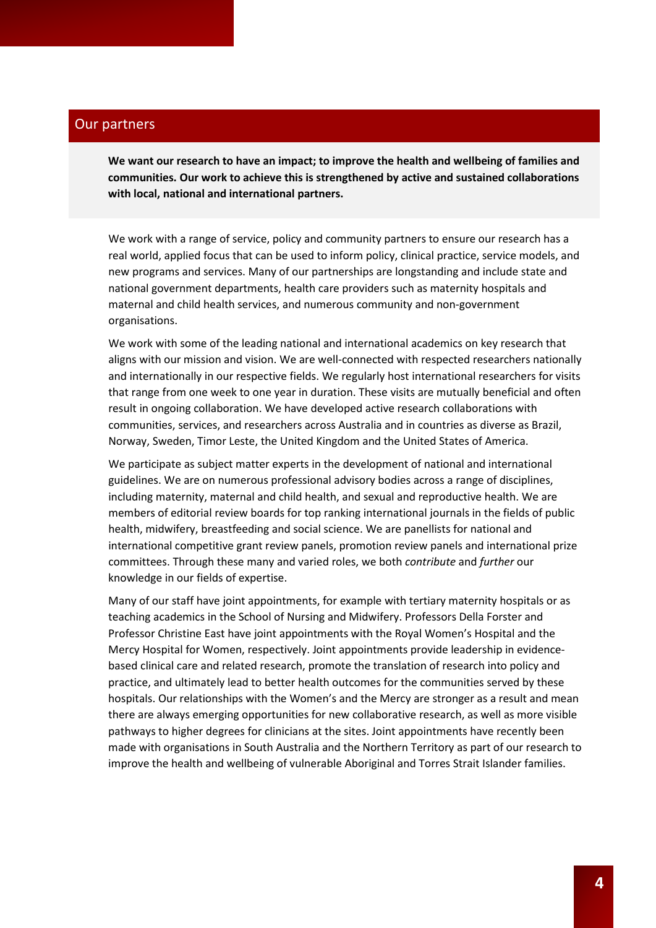#### Our partners

**We want our research to have an impact; to improve the health and wellbeing of families and communities. Our work to achieve this is strengthened by active and sustained collaborations with local, national and international partners.**

We work with a range of service, policy and community partners to ensure our research has a real world, applied focus that can be used to inform policy, clinical practice, service models, and new programs and services. Many of our partnerships are longstanding and include state and national government departments, health care providers such as maternity hospitals and maternal and child health services, and numerous community and non-government organisations.

We work with some of the leading national and international academics on key research that aligns with our mission and vision. We are well-connected with respected researchers nationally and internationally in our respective fields. We regularly host international researchers for visits that range from one week to one year in duration. These visits are mutually beneficial and often result in ongoing collaboration. We have developed active research collaborations with communities, services, and researchers across Australia and in countries as diverse as Brazil, Norway, Sweden, Timor Leste, the United Kingdom and the United States of America.

We participate as subject matter experts in the development of national and international guidelines. We are on numerous professional advisory bodies across a range of disciplines, including maternity, maternal and child health, and sexual and reproductive health. We are members of editorial review boards for top ranking international journals in the fields of public health, midwifery, breastfeeding and social science. We are panellists for national and international competitive grant review panels, promotion review panels and international prize committees. Through these many and varied roles, we both *contribute* and *further* our knowledge in our fields of expertise.

Many of our staff have joint appointments, for example with tertiary maternity hospitals or as teaching academics in the School of Nursing and Midwifery. Professors Della Forster and Professor Christine East have joint appointments with the Royal Women's Hospital and the Mercy Hospital for Women, respectively. Joint appointments provide leadership in evidencebased clinical care and related research, promote the translation of research into policy and practice, and ultimately lead to better health outcomes for the communities served by these hospitals. Our relationships with the Women's and the Mercy are stronger as a result and mean there are always emerging opportunities for new collaborative research, as well as more visible pathways to higher degrees for clinicians at the sites. Joint appointments have recently been made with organisations in South Australia and the Northern Territory as part of our research to improve the health and wellbeing of vulnerable Aboriginal and Torres Strait Islander families.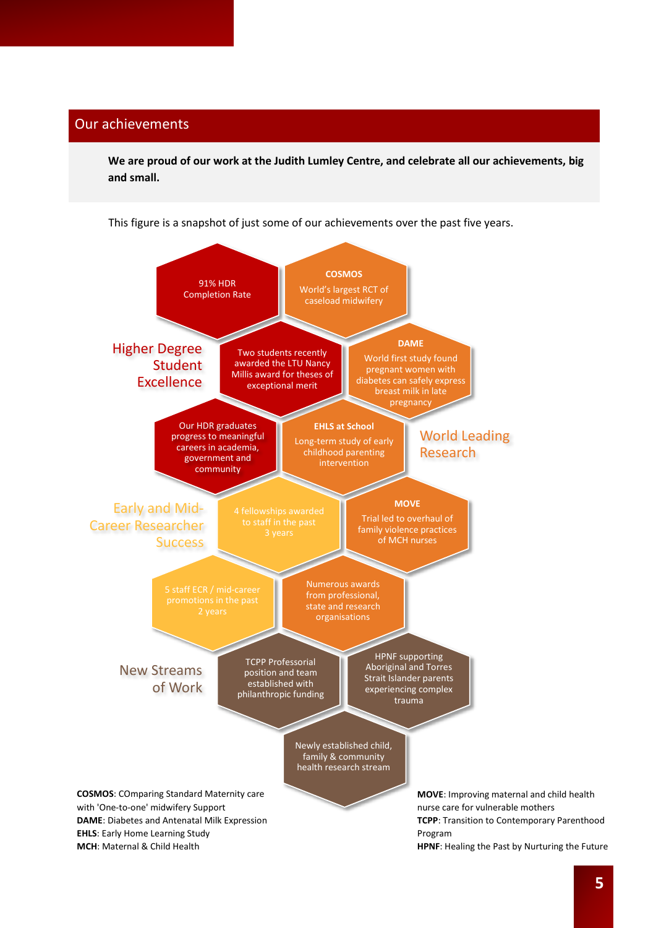#### Our achievements

**We are proud of our work at the Judith Lumley Centre, and celebrate all our achievements, big and small.**

This figure is a snapshot of just some of our achievements over the past five years.



**MCH**: Maternal & Child Health

**TCPP**: Transition to Contemporary Parenthood **HPNF**: Healing the Past by Nurturing the Future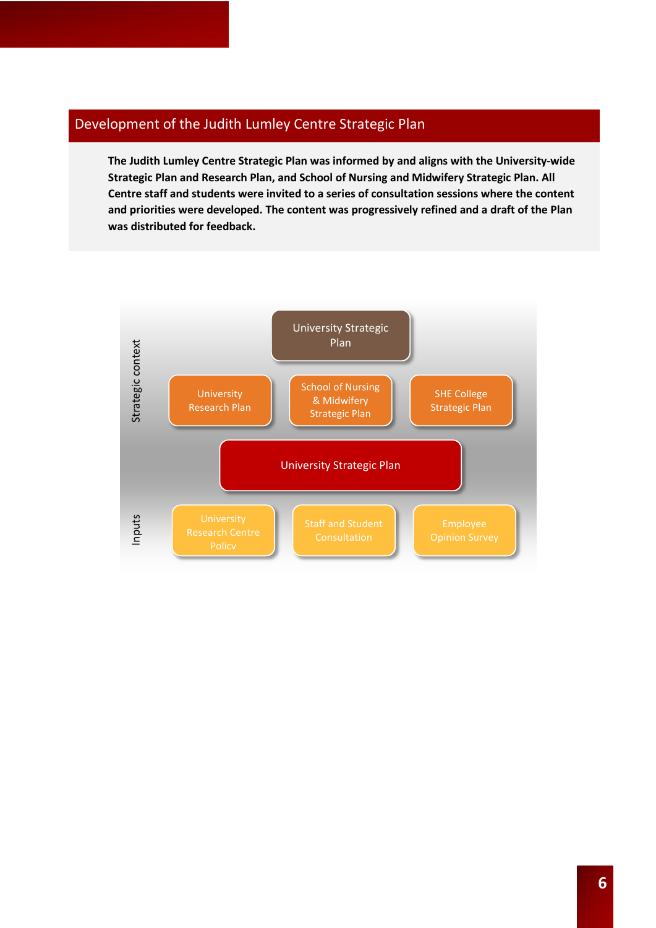#### Development of the Judith Lumley Centre Strategic Plan

**The Judith Lumley Centre Strategic Plan was informed by and aligns with the University-wide Strategic Plan and Research Plan, and School of Nursing and Midwifery Strategic Plan. All Centre staff and students were invited to a series of consultation sessions where the content and priorities were developed. The content was progressively refined and a draft of the Plan was distributed for feedback.**

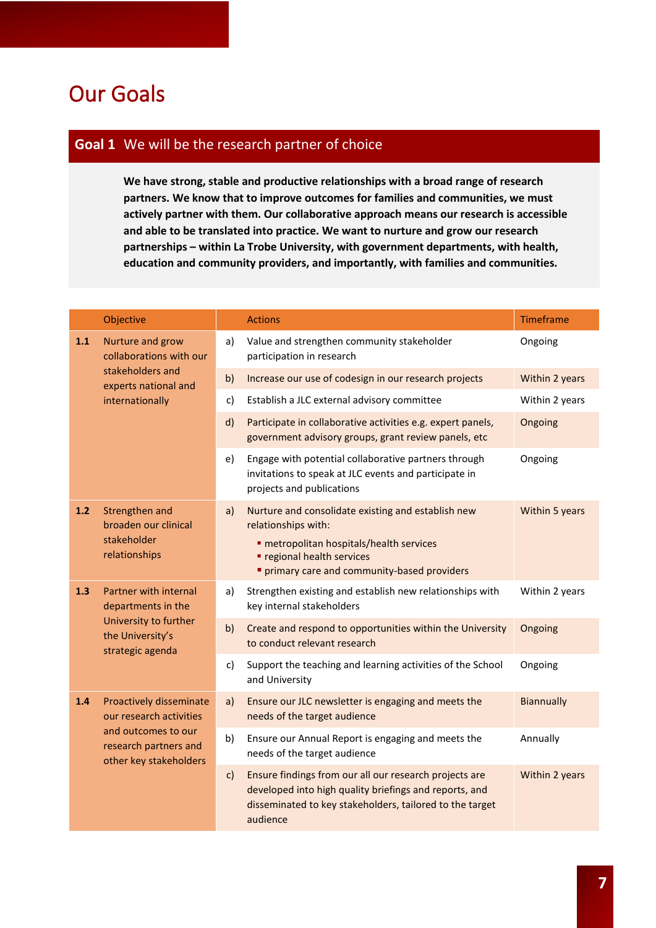### Our Goals

#### **Goal 1** We will be the research partner of choice

**We have strong, stable and productive relationships with a broad range of research partners. We know that to improve outcomes for families and communities, we must actively partner with them. Our collaborative approach means our research is accessible and able to be translated into practice. We want to nurture and grow our research partnerships – within La Trobe University, with government departments, with health, education and community providers, and importantly, with families and communities.**

|       | Objective                                                                                                                    |              | <b>Actions</b>                                                                                                                                                                                             | Timeframe         |
|-------|------------------------------------------------------------------------------------------------------------------------------|--------------|------------------------------------------------------------------------------------------------------------------------------------------------------------------------------------------------------------|-------------------|
| 1.1   | Nurture and grow<br>collaborations with our<br>stakeholders and<br>experts national and<br>internationally                   | a)           | Value and strengthen community stakeholder<br>participation in research                                                                                                                                    | Ongoing           |
|       |                                                                                                                              | b)           | Increase our use of codesign in our research projects                                                                                                                                                      | Within 2 years    |
|       |                                                                                                                              | c)           | Establish a JLC external advisory committee                                                                                                                                                                | Within 2 years    |
|       |                                                                                                                              | d)           | Participate in collaborative activities e.g. expert panels,<br>government advisory groups, grant review panels, etc                                                                                        | Ongoing           |
|       |                                                                                                                              | e)           | Engage with potential collaborative partners through<br>invitations to speak at JLC events and participate in<br>projects and publications                                                                 | Ongoing           |
| $1.2$ | Strengthen and<br>broaden our clinical<br>stakeholder<br>relationships                                                       | a)           | Nurture and consolidate existing and establish new<br>relationships with:<br><b>- metropolitan hospitals/health services</b><br>" regional health services<br>" primary care and community-based providers | Within 5 years    |
| 1.3   | Partner with internal<br>departments in the<br>University to further<br>the University's<br>strategic agenda                 | a)           | Strengthen existing and establish new relationships with<br>key internal stakeholders                                                                                                                      | Within 2 years    |
|       |                                                                                                                              | b)           | Create and respond to opportunities within the University<br>to conduct relevant research                                                                                                                  | Ongoing           |
|       |                                                                                                                              | c)           | Support the teaching and learning activities of the School<br>and University                                                                                                                               | Ongoing           |
| 1.4   | Proactively disseminate<br>our research activities<br>and outcomes to our<br>research partners and<br>other key stakeholders | a)           | Ensure our JLC newsletter is engaging and meets the<br>needs of the target audience                                                                                                                        | <b>Biannually</b> |
|       |                                                                                                                              | b)           | Ensure our Annual Report is engaging and meets the<br>needs of the target audience                                                                                                                         | Annually          |
|       |                                                                                                                              | $\mathsf{c}$ | Ensure findings from our all our research projects are<br>developed into high quality briefings and reports, and<br>disseminated to key stakeholders, tailored to the target<br>audience                   | Within 2 years    |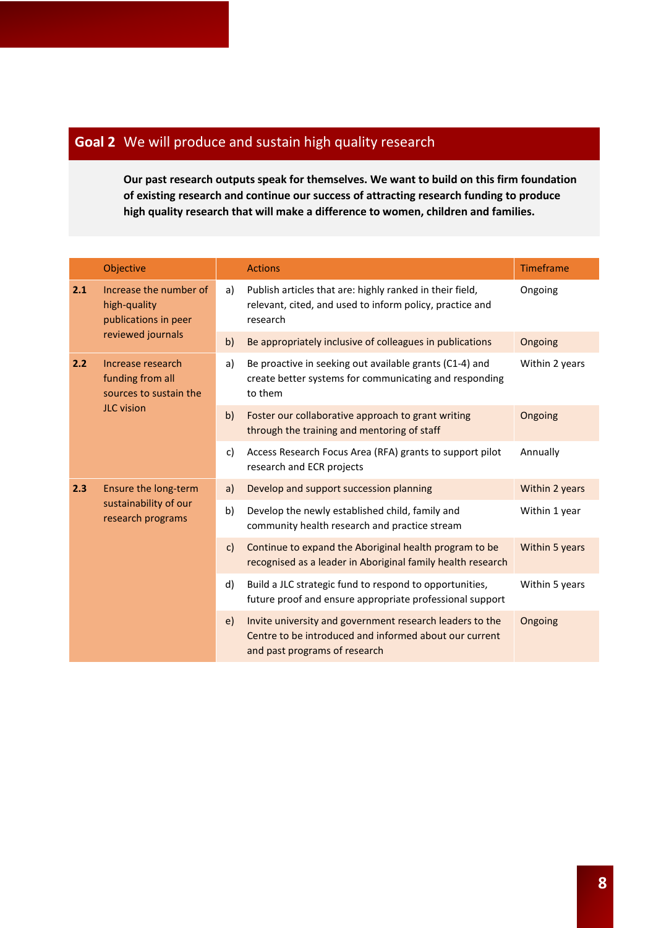#### **Goal 2** We will produce and sustain high quality research

**Our past research outputs speak for themselves. We want to build on this firm foundation of existing research and continue our success of attracting research funding to produce high quality research that will make a difference to women, children and families.**

|     | Objective                                                                            |    | <b>Actions</b>                                                                                                                                      | Timeframe      |
|-----|--------------------------------------------------------------------------------------|----|-----------------------------------------------------------------------------------------------------------------------------------------------------|----------------|
| 2.1 | Increase the number of<br>high-quality<br>publications in peer<br>reviewed journals  | a) | Publish articles that are: highly ranked in their field,<br>relevant, cited, and used to inform policy, practice and<br>research                    | Ongoing        |
|     |                                                                                      | b) | Be appropriately inclusive of colleagues in publications                                                                                            | Ongoing        |
| 2.2 | Increase research<br>funding from all<br>sources to sustain the<br><b>JLC</b> vision | a) | Be proactive in seeking out available grants (C1-4) and<br>create better systems for communicating and responding<br>to them                        | Within 2 years |
|     |                                                                                      | b) | Foster our collaborative approach to grant writing<br>through the training and mentoring of staff                                                   | Ongoing        |
|     |                                                                                      | c) | Access Research Focus Area (RFA) grants to support pilot<br>research and ECR projects                                                               | Annually       |
| 2.3 | Ensure the long-term<br>sustainability of our<br>research programs                   | a) | Develop and support succession planning                                                                                                             | Within 2 years |
|     |                                                                                      | b) | Develop the newly established child, family and<br>community health research and practice stream                                                    | Within 1 year  |
|     |                                                                                      | C) | Continue to expand the Aboriginal health program to be<br>recognised as a leader in Aboriginal family health research                               | Within 5 years |
|     |                                                                                      | d) | Build a JLC strategic fund to respond to opportunities,<br>future proof and ensure appropriate professional support                                 | Within 5 years |
|     |                                                                                      | e) | Invite university and government research leaders to the<br>Centre to be introduced and informed about our current<br>and past programs of research | Ongoing        |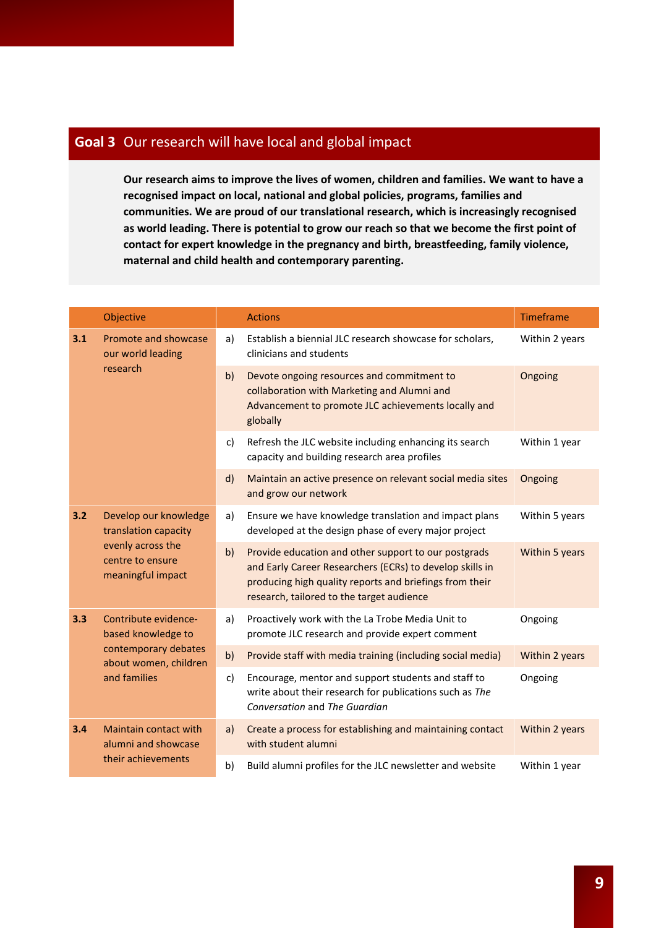#### **Goal 3** Our research will have local and global impact

**Our research aims to improve the lives of women, children and families. We want to have a recognised impact on local, national and global policies, programs, families and communities. We are proud of our translational research, which is increasingly recognised as world leading. There is potential to grow our reach so that we become the first point of contact for expert knowledge in the pregnancy and birth, breastfeeding, family violence, maternal and child health and contemporary parenting.**

|     | Objective                                                                                                   |              | <b>Actions</b>                                                                                                                                                                                                           | Timeframe      |
|-----|-------------------------------------------------------------------------------------------------------------|--------------|--------------------------------------------------------------------------------------------------------------------------------------------------------------------------------------------------------------------------|----------------|
| 3.1 | Promote and showcase<br>our world leading<br>research                                                       | a)           | Establish a biennial JLC research showcase for scholars,<br>clinicians and students                                                                                                                                      | Within 2 years |
|     |                                                                                                             | b)           | Devote ongoing resources and commitment to<br>collaboration with Marketing and Alumni and<br>Advancement to promote JLC achievements locally and<br>globally                                                             | Ongoing        |
|     |                                                                                                             | c)           | Refresh the JLC website including enhancing its search<br>capacity and building research area profiles                                                                                                                   | Within 1 year  |
|     |                                                                                                             | $\mathsf{d}$ | Maintain an active presence on relevant social media sites<br>and grow our network                                                                                                                                       | Ongoing        |
| 3.2 | Develop our knowledge<br>translation capacity<br>evenly across the<br>centre to ensure<br>meaningful impact | a)           | Ensure we have knowledge translation and impact plans<br>developed at the design phase of every major project                                                                                                            | Within 5 years |
|     |                                                                                                             | b)           | Provide education and other support to our postgrads<br>and Early Career Researchers (ECRs) to develop skills in<br>producing high quality reports and briefings from their<br>research, tailored to the target audience | Within 5 years |
| 3.3 | Contribute evidence-<br>based knowledge to<br>contemporary debates<br>about women, children<br>and families | a)           | Proactively work with the La Trobe Media Unit to<br>promote JLC research and provide expert comment                                                                                                                      | Ongoing        |
|     |                                                                                                             | b)           | Provide staff with media training (including social media)                                                                                                                                                               | Within 2 years |
|     |                                                                                                             | c)           | Encourage, mentor and support students and staff to<br>write about their research for publications such as The<br>Conversation and The Guardian                                                                          | Ongoing        |
| 3.4 | Maintain contact with<br>alumni and showcase<br>their achievements                                          | a)           | Create a process for establishing and maintaining contact<br>with student alumni                                                                                                                                         | Within 2 years |
|     |                                                                                                             | b)           | Build alumni profiles for the JLC newsletter and website                                                                                                                                                                 | Within 1 year  |